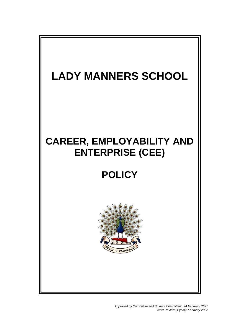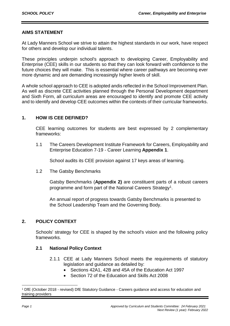# **AIMS STATEMENT**

At Lady Manners School we strive to attain the highest standards in our work, have respect for others and develop our individual talents.

These principles underpin school's approach to developing Career, Employability and Enterprise (CEE) skills in our students so that they can look forward with confidence to the future choices they will make. This is essential where career pathways are becoming ever more dynamic and are demanding increasingly higher levels of skill.

A whole school approach to CEE is adopted andis reflected in the School Improvement Plan. As well as discrete CEE activities planned through the Personal Development department and Sixth Form, all curriculum areas are encouraged to identify and promote CEE activity and to identify and develop CEE outcomes within the contexts of their curricular frameworks.

# **1. HOW IS CEE DEFINED?**

CEE learning outcomes for students are best expressed by 2 complementary frameworks:

1.1 The Careers Development Institute Framework for Careers, Employability and Enterprise Education 7-19 - Career Learning **Appendix 1**.

School audits its CEE provision against 17 keys areas of learning.

1.2 The Gatsby Benchmarks

Gatsby Benchmarks (**Appendix 2)** are constituent parts of a robust careers programme and form part of the National Careers Strategy<sup>1</sup>.

An annual report of progress towards Gatsby Benchmarks is presented to the School Leadership Team and the Governing Body.

# **2. POLICY CONTEXT**

Schools' strategy for CEE is shaped by the school's vision and the following policy frameworks.

# **2.1 National Policy Context**

- 2.1.1 CEE at Lady Manners School meets the requirements of statutory legislation and guidance as detailed by:
	- Sections 42A1, 42B and 45A of the Education Act 1997
	- Section 72 of the Education and Skills Act 2008

1

<sup>1</sup> DfE (October 2018 - revised) DfE Statutory Guidance - Careers guidance and access for education and training providers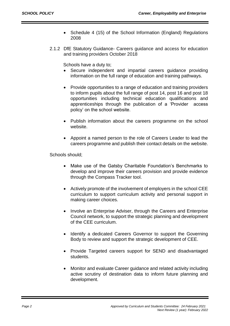- Schedule 4 (15) of the School Information (England) Regulations 2008
- 2.1.2 DfE Statutory Guidance- Careers guidance and access for education and training providers October 2018

Schools have a duty to;

- Secure independent and impartial careers guidance providing information on the full range of education and training pathways.
- Provide opportunities to a range of education and training providers to inform pupils about the full range of post 14, post 16 and post 18 opportunities including technical education qualifications and apprenticeships through the publication of a 'Provider access policy' on the school website.
- Publish information about the careers programme on the school website.
- Appoint a named person to the role of Careers Leader to lead the careers programme and publish their contact details on the website.

Schools should;

- Make use of the Gatsby Charitable Foundation's Benchmarks to develop and improve their careers provision and provide evidence through the Compass Tracker tool.
- Actively promote of the involvement of employers in the school CEE curriculum to support curriculum activity and personal support in making career choices.
- Involve an Enterprise Adviser, through the Careers and Enterprise Council network, to support the strategic planning and development of the CEE curriculum.
- Identify a dedicated Careers Governor to support the Governing Body to review and support the strategic development of CEE.
- Provide Targeted careers support for SEND and disadvantaged students.
- Monitor and evaluate Career guidance and related activity including active scrutiny of destination data to inform future planning and development.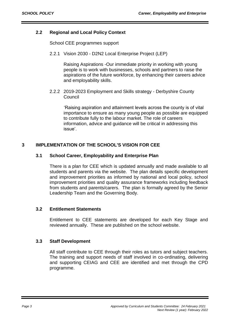# **2.2 Regional and Local Policy Context**

School CEE programmes support

2.2.1 Vision 2030 - D2N2 Local Enterprise Project (LEP)

Raising Aspirations -Our immediate priority in working with young people is to work with businesses, schools and partners to raise the aspirations of the future workforce, by enhancing their careers advice and employability skills.

2.2.2 2019-2023 Employment and Skills strategy - Derbyshire County Council

'Raising aspiration and attainment levels across the county is of vital importance to ensure as many young people as possible are equipped to contribute fully to the labour market. The role of careers information, advice and guidance will be critical in addressing this issue'.

# **3 IMPLEMENTATION OF THE SCHOOL'S VISION FOR CEE**

## **3.1 School Career, Employability and Enterprise Plan**

There is a plan for CEE which is updated annually and made available to all students and parents via the website. The plan details specific development and improvement priorities as informed by national and local policy, school improvement priorities and quality assurance frameworks including feedback from students and parents/carers. The plan is formally agreed by the Senior Leadership Team and the Governing Body.

### **3.2 Entitlement Statements**

Entitlement to CEE statements are developed for each Key Stage and reviewed annually. These are published on the school website.

### **3.3 Staff Development**

All staff contribute to CEE through their roles as tutors and subject teachers. The training and support needs of staff involved in co-ordinating, delivering and supporting CEIAG and CEE are identified and met through the CPD programme.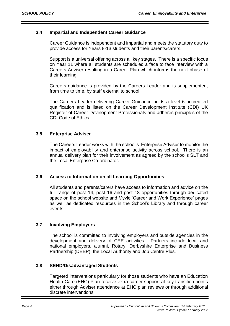## **3.4 Impartial and Independent Career Guidance**

Career Guidance is independent and impartial and meets the statutory duty to provide access for Years 8-13 students and their parents/carers.

Support is a universal offering across all key stages. There is a specific focus on Year 11 where all students are scheduled a face to face interview with a Careers Adviser resulting in a Career Plan which informs the next phase of their learning.

Careers guidance is provided by the Careers Leader and is supplemented, from time to time, by staff external to school.

The Careers Leader delivering Career Guidance holds a level 6 accredited qualification and is listed on the Career Development Institute (CDI) UK Register of Career Development Professionals and adheres principles of the CDI Code of Ethics.

# **3.5 Enterprise Adviser**

The Careers Leader works with the school's Enterprise Adviser to monitor the impact of employability and enterprise activity across school. There is an annual delivery plan for their involvement as agreed by the school's SLT and the Local Enterprise Co-ordinator.

### **3.6 Access to Information on all Learning Opportunities**

All students and parents/carers have access to information and advice on the full range of post 14, post 16 and post 18 opportunities through dedicated space on the school website and Myvle 'Career and Work Experience' pages as well as dedicated resources in the School's Library and through career events.

# **3.7 Involving Employers**

The school is committed to involving employers and outside agencies in the development and delivery of CEE activities. Partners include local and national employers, alumni, Rotary, Derbyshire Enterprise and Business Partnership (DEBP), the Local Authority and Job Centre Plus.

### **3.8 SEND/Disadvantaged Students**

Targeted interventions particularly for those students who have an Education Health Care (EHC) Plan receive extra career support at key transition points either through Adviser attendance at EHC plan reviews or through additional discrete interventions.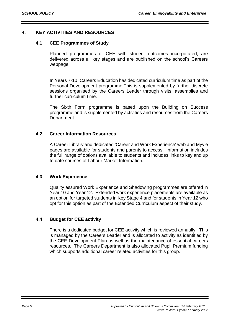# **4. KEY ACTIVITIES AND RESOURCES**

## **4.1 CEE Programmes of Study**

Planned programmes of CEE with student outcomes incorporated, are delivered across all key stages and are published on the school's Careers webpage

In Years 7-10, Careers Education has dedicated curriculum time as part of the Personal Development programme.This is supplemented by further discrete sessions organised by the Careers Leader through visits, assemblies and further curriculum time.

The Sixth Form programme is based upon the Building on Success programme and is supplemented by activities and resources from the Careers Department.

## **4.2 Career Information Resources**

A Career Library and dedicated 'Career and Work Experience' web and Myvle pages are available for students and parents to access. Information includes the full range of options available to students and includes links to key and up to date sources of Labour Market Information.

# **4.3 Work Experience**

Quality assured Work Experience and Shadowing programmes are offered in Year 10 and Year 12. Extended work experience placements are available as an option for targeted students in Key Stage 4 and for students in Year 12 who opt for this option as part of the Extended Curriculum aspect of their study.

### **4.4 Budget for CEE activity**

There is a dedicated budget for CEE activity which is reviewed annually. This is managed by the Careers Leader and is allocated to activity as identified by the CEE Development Plan as well as the maintenance of essential careers resources. The Careers Department is also allocated Pupil Premium funding which supports additional career related activities for this group.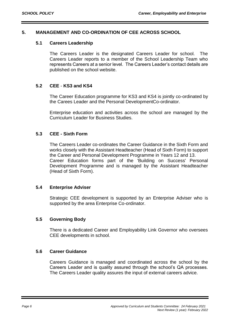# **5. MANAGEMENT AND CO-ORDINATION OF CEE ACROSS SCHOOL**

## **5.1 Careers Leadership**

The Careers Leader is the designated Careers Leader for school. The Careers Leader reports to a member of the School Leadership Team who represents Careers at a senior level. The Careers Leader's contact details are published on the school website.

# **5.2 CEE** - **KS3 and KS4**

The Career Education programme for KS3 and KS4 is jointly co-ordinated by the Carees Leader and the Personal DevelopmentCo-ordinator.

Enterprise education and activities across the school are managed by the Curriculum Leader for Business Studies.

## **5.3 CEE - Sixth Form**

The Careers Leader co-ordinates the Career Guidance in the Sixth Form and works closely with the Assistant Headteacher (Head of Sixth Form) to support the Career and Personal Development Programme in Years 12 and 13. Career Education forms part of the 'Building on Success' Personal Development Programme and is managed by the Assistant Headteacher (Head of Sixth Form).

### **5.4 Enterprise Adviser**

Strategic CEE development is supported by an Enterprise Adviser who is supported by the area Enterprise Co-ordinator.

### **5.5 Governing Body**

There is a dedicated Career and Employability Link Governor who oversees CEE developments in school.

### **5.6 Career Guidance**

Careers Guidance is managed and coordinated across the school by the Careers Leader and is quality assured through the school's QA processes. The Careers Leader quality assures the input of external careers advice.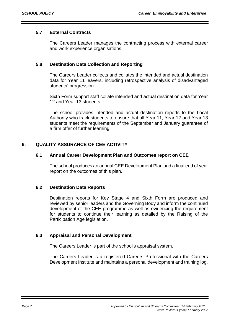# **5.7 External Contracts**

The Careers Leader manages the contracting process with external career and work experience organisations.

## **5.8 Destination Data Collection and Reporting**

The Careers Leader collects and collates the intended and actual destination data for Year 11 leavers, including retrospective analysis of disadvantaged students' progression.

Sixth Form support staff collate intended and actual destination data for Year 12 and Year 13 students.

The school provides intended and actual destination reports to the Local Authority who track students to ensure that all Year 11, Year 12 and Year 13 students meet the requirements of the September and January guarantee of a firm offer of further learning.

# **6. QUALITY ASSURANCE OF CEE ACTIVITY**

## **6.1 Annual Career Development Plan and Outcomes report on CEE**

The school produces an annual CEE Development Plan and a final end of year report on the outcomes of this plan.

# **6.2 Destination Data Reports**

Destination reports for Key Stage 4 and Sixth Form are produced and reviewed by senior leaders and the Governing Body and inform the continued development of the CEE programme as well as evidencing the requirement for students to continue their learning as detailed by the Raising of the Participation Age legislation.

# **6.3 Appraisal and Personal Development**

The Careers Leader is part of the school's appraisal system.

The Careers Leader is a registered Careers Professional with the Careers Development Institute and maintains a personal development and training log.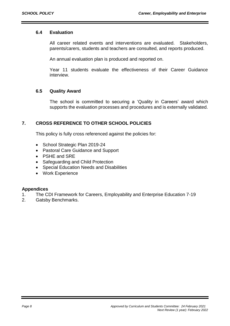# **6.4 Evaluation**

All career related events and interventions are evaluated. Stakeholders, parents/carers, students and teachers are consulted, and reports produced.

An annual evaluation plan is produced and reported on.

Year 11 students evaluate the effectiveness of their Career Guidance interview.

# **6.5 Quality Award**

The school is committed to securing a 'Quality in Careers' award which supports the evaluation processes and procedures and is externally validated.

# **7. CROSS REFERENCE TO OTHER SCHOOL POLICIES**

This policy is fully cross referenced against the policies for:

- School Strategic Plan 2019-24
- Pastoral Care Guidance and Support
- PSHE and SRE
- Safeguarding and Child Protection
- Special Education Needs and Disabilities
- Work Experience

### **Appendices**

- 1. The CDI Framework for Careers, Employability and Enterprise Education 7-19
- 2. Gatsby Benchmarks.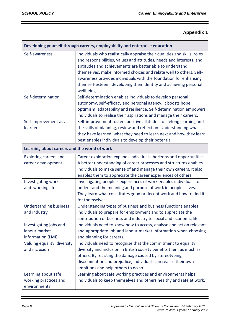# **Appendix 1**

| Developing yourself through careers, employability and enterprise education |                                                                                                                                                                                                                                                                                                                                                                                                                                             |  |
|-----------------------------------------------------------------------------|---------------------------------------------------------------------------------------------------------------------------------------------------------------------------------------------------------------------------------------------------------------------------------------------------------------------------------------------------------------------------------------------------------------------------------------------|--|
| Self-awareness                                                              | Individuals who realistically appraise their qualities and skills, roles<br>and responsibilities, values and attitudes, needs and interests, and<br>aptitudes and achievements are better able to understand<br>themselves, make informed choices and relate well to others. Self-<br>awareness provides individuals with the foundation for enhancing<br>their self-esteem, developing their identity and achieving personal<br>wellbeing. |  |
| Self-determination                                                          | Self-determination enables individuals to develop personal<br>autonomy, self-efficacy and personal agency. It boosts hope,<br>optimism, adaptability and resilience. Self-determination empowers<br>individuals to realise their aspirations and manage their careers.                                                                                                                                                                      |  |
| Self-improvement as a<br>learner                                            | Self-improvement fosters positive attitudes to lifelong learning and<br>the skills of planning, review and reflection. Understanding what<br>they have learned, what they need to learn next and how they learn<br>best enables individuals to develop their potential.                                                                                                                                                                     |  |
| Learning about careers and the world of work                                |                                                                                                                                                                                                                                                                                                                                                                                                                                             |  |
| <b>Exploring careers and</b><br>career development                          | Career exploration expands individuals' horizons and opportunities.<br>A better understanding of career processes and structures enables<br>individuals to make sense of and manage their own careers. It also<br>enables them to appreciate the career experiences of others.                                                                                                                                                              |  |
| Investigating work<br>and working life                                      | Investigating people's experiences of work enables individuals to<br>understand the meaning and purpose of work in people's lives.<br>They learn what constitutes good or decent work and how to find it<br>for themselves.                                                                                                                                                                                                                 |  |
| <b>Understanding business</b><br>and industry                               | Understanding types of business and business functions enables<br>individuals to prepare for employment and to appreciate the<br>contribution of business and industry to social and economic life.                                                                                                                                                                                                                                         |  |
| Investigating jobs and<br>labour market<br>information (LMI)                | Individuals need to know how to access, analyse and act on relevant<br>and appropriate job and labour market information when choosing<br>and planning for careers.                                                                                                                                                                                                                                                                         |  |
| Valuing equality, diversity<br>and inclusion                                | Individuals need to recognise that the commitment to equality,<br>diversity and inclusion in British society benefits them as much as<br>others. By resisting the damage caused by stereotyping,<br>discrimination and prejudice, individuals can realise their own<br>ambitions and help others to do so.                                                                                                                                  |  |
| Learning about safe<br>working practices and<br>environments                | Learning about safe working practices and environments helps<br>individuals to keep themselves and others healthy and safe at work.                                                                                                                                                                                                                                                                                                         |  |

ī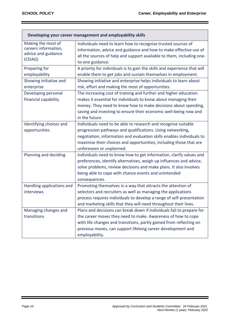Г

| Developing your career management and employability skills |                                                                           |  |
|------------------------------------------------------------|---------------------------------------------------------------------------|--|
| Making the most of                                         | Individuals need to learn how to recognise trusted sources of             |  |
| careers information,                                       | information, advice and guidance and how to make effective use of         |  |
| advice and guidance                                        | all the sources of help and support available to them, including one-     |  |
| (CEIAG)                                                    | to-one guidance.                                                          |  |
| Preparing for                                              | A priority for individuals is to gain the skills and experience that will |  |
| employability                                              | enable them to get jobs and sustain themselves in employment.             |  |
| Showing initiative and                                     | Showing initiative and enterprise helps individuals to learn about        |  |
| enterprise                                                 | risk, effort and making the most of opportunities.                        |  |
| Developing personal                                        | The increasing cost of training and further and higher education          |  |
| financial capability                                       | makes it essential for individuals to know about managing their           |  |
|                                                            | money. They need to know how to make decisions about spending,            |  |
|                                                            | saving and investing to ensure their economic well-being now and          |  |
|                                                            | in the future.                                                            |  |
| Identifying choices and                                    | Individuals need to be able to research and recognise suitable            |  |
| opportunities                                              | progression pathways and qualifications. Using networking,                |  |
|                                                            | negotiation, information and evaluation skills enables individuals to     |  |
|                                                            | maximise their choices and opportunities, including those that are        |  |
|                                                            | unforeseen or unplanned.                                                  |  |
| Planning and deciding                                      | Individuals need to know how to get information, clarify values and       |  |
|                                                            | preferences, identify alternatives, weigh up influences and advice,       |  |
|                                                            | solve problems, review decisions and make plans. It also involves         |  |
|                                                            | being able to cope with chance events and unintended                      |  |
|                                                            | consequences.                                                             |  |
| Handling applications and                                  | Promoting themselves in a way that attracts the attention of              |  |
| interviews                                                 | selectors and recruiters as well as managing the applications             |  |
|                                                            | process requires individuals to develop a range of self-presentation      |  |
|                                                            | and marketing skills that they will need throughout their lives.          |  |
| Managing changes and                                       | Plans and decisions can break down if individuals fail to prepare for     |  |
| transitions                                                | the career moves they need to make. Awareness of how to cope              |  |
|                                                            | with life changes and transitions, partly gained from reflecting on       |  |
|                                                            | previous moves, can support lifelong career development and               |  |
|                                                            | employability.                                                            |  |

ī